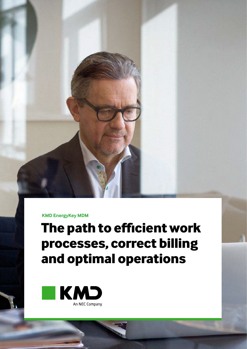**KMD EnergyKey MDM**

# **The path to efficient work processes, correct billing and optimal operations**

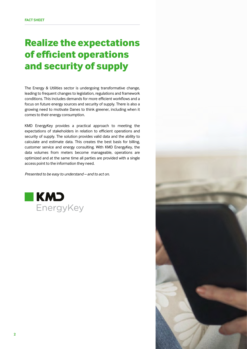# **Realize the expectations of efficient operations and security of supply**

The Energy & Utilities sector is undergoing transformative change, leading to frequent changes to legislation, regulations and framework conditions. This includes demands for more efficient workflows and a focus on future energy sources and security of supply. There is also a growing need to motivate Danes to think greener, including when it comes to their energy consumption.

KMD EnergyKey provides a practical approach to meeting the expectations of stakeholders in relation to efficient operations and security of supply. The solution provides valid data and the ability to calculate and estimate data. This creates the best basis for billing, customer service and energy consulting. With KMD EnergyKey, the data volumes from meters become manageable, operations are optimized and at the same time all parties are provided with a single access point to the information they need.

*Presented to be easy to understand – and to act on.*



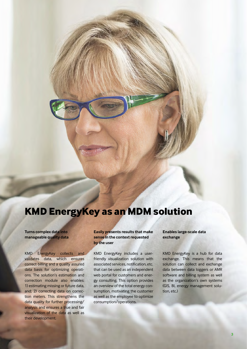## **KMD EnergyKey as an MDM solution**

**Turns complex data into manageable quality data**

KMD EnergyKey collects and validates data, which ensures correct billing and a quality assured data basis for optimizing operations. The solution's estimation and correction module also enables: 1) estimating missing or future data, and; 2) correcting data on correction meters. This strengthens the data quality for further processing/ analysis and ensures a true and fair visualization of the data as well as their development.

**Easily presents results that make sense in the context requested by the user**

KMD EnergyKey includes a userfriendly visualization solution with associated services, notification, etc. that can be used as an independent web portal for customers and energy consulting. This option provides an overview of the total energy consumption, motivating the customer as well as the employee to optimize consumption/operations.

**Enables large-scale data exchange**

KMD EnergyKey is a hub for data exchange. This means that the solution can collect and exchange data between data loggers or AMR software and billing system as well as the organization's own systems (GIS, BI, energy management solution, etc.)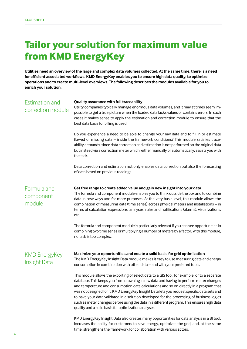## **Tailor your solution for maximum value from KMD EnergyKey**

**Utilities need an overview of the large and complex data volumes collected. At the same time, there is a need for efficient associated workflows. KMD EnergyKey enables you to ensure high data quality, to optimize operations and to create multi-level overviews. The following describes the modules available for you to enrich your solution.**

## Estimation and correction module

### **Quality assurance with full traceability**

Utility companies typically manage enormous data volumes, and it may at times seem impossible to get a true picture when the loaded data lacks values or contains errors. In such cases it makes sense to apply the estimation and correction module to ensure that the best data basis for billing is used.

Do you experience a need to be able to change your raw data and to fill in or estimate flawed or missing data – inside the framework conditions? This module satisfies traceability demands, since data correction and estimation is not performed on the original data but instead via a correction meter which, either manually or automatically, assists you with the task.

Data correction and estimation not only enables data correction but also the forecasting of data based on previous readings.

Formula and component module

### **Get free range to create added value and gain new insight into your data**

The formula and component module enables you to think outside the box and to combine data in new ways and for more purposes. At the very basic level, this module allows the combination of measuring data (time series) across physical meters and installations – in terms of calculation expressions, analyses, rules and notifications (alarms), visualizations, etc.

The formula and component module is particularly relevant if you can see opportunities in combining two time series or multiplying a number of meters by a factor. With this module, no task is too complex.

## KMD EnergyKey Insight Data

### **Maximize your opportunities and create a solid basis for grid optimization**

The KMD EnergyKey Insight Data module makes it easy to use measuring data and energy consumption in combination with other data – and with your preferred tools.

This module allows the exporting of select data to a GIS tool, for example, or to a separate database. This keeps you from drowning in raw data and having to perform meter changes and temperature and consumption data calculations and so on directly in a program that was not designed for it. KMD EnergyKey Insight Data lets you request specific data sets and to have your data validated in a solution developed for the processing of business logics such as meter changes before using the data in a different program. This ensures high data quality and a solid basis for optimization analyses.

KMD EnergyKey Insight Data also creates many opportunities for data analysis in a BI tool, increases the ability for customers to save energy, optimizes the grid, and, at the same time, strengthens the framework for collaboration with various actors.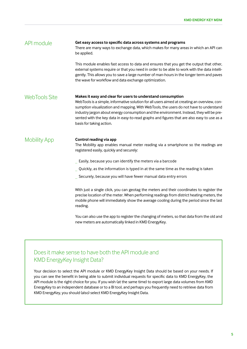| API module           | Get easy access to specific data across systems and programs<br>There are many ways to exchange data, which makes for many areas in which an API can<br>be applied.                                                                                                                                                                                                                                                                                                         |
|----------------------|-----------------------------------------------------------------------------------------------------------------------------------------------------------------------------------------------------------------------------------------------------------------------------------------------------------------------------------------------------------------------------------------------------------------------------------------------------------------------------|
|                      | This module enables fast access to data and ensures that you get the output that other,<br>external systems require or that you need in order to be able to work with the data intelli-<br>gently. This allows you to save a large number of man-hours in the longer term and paves<br>the wave for workflow and data exchange optimization.                                                                                                                                |
| <b>WebTools Site</b> | Makes it easy and clear for users to understand consumption<br>WebTools is a simple, informative solution for all users aimed at creating an overview, con-<br>sumption visualization and mapping. With WebTools, the users do not have to understand<br>industry jargon about energy consumption and the environment. Instead, they will be pre-<br>sented with the key data in easy-to-read graphs and figures that are also easy to use as a<br>basis for taking action. |
| <b>Mobility App</b>  | Control reading via app<br>The Mobility app enables manual meter reading via a smartphone so the readings are<br>registered easily, quickly and securely:<br>Easily, because you can identify the meters via a barcode<br>Quickly, as the information is typed in at the same time as the reading is taken                                                                                                                                                                  |
|                      | Securely, because you will have fewer manual data entry errors                                                                                                                                                                                                                                                                                                                                                                                                              |
|                      | With just a single click, you can geotag the meters and their coordinates to register the<br>precise location of the meter. When performing readings from district heating meters, the<br>mobile phone will immediately show the average cooling during the period since the last<br>reading.                                                                                                                                                                               |
|                      | You can also use the app to register the changing of meters, so that data from the old and                                                                                                                                                                                                                                                                                                                                                                                  |

## Does it make sense to have both the API module and KMD EnergyKey Insight Data?

Your decision to select the API module or KMD EnergyKey Insight Data should be based on your needs. If you can see the benefit in being able to submit individual requests for specific data to KMD EnergyKey, the API module is the right choice for you. If you wish (at the same time) to export large data volumes from KMD EnergyKey to an independent database or to a BI tool, and perhaps you frequently need to retrieve data from KMD EnergyKey, you should (also) select KMD EnergyKey Insight Data.

new meters are automatically linked in KMD EnergyKey.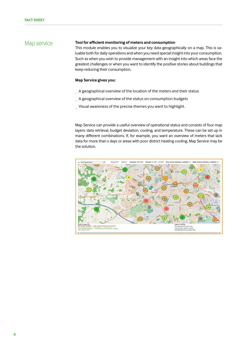#### **Tool for efficient monitoring of meters and consumption** Map service

This module enables you to visualize your key data geographically on a map. This is valuable both for daily operations and when you need special insight into your consumption. Such as when you wish to provide management with an insight into which areas face the greatest challenges or when you want to identify the positive stories about buildings that keep reducing their consumption.

## **Map Service gives you:**

- A geographical overview of the location of the meters and their status
- \_ A geographical overview of the status on consumption budgets
- Visual awareness of the precise themes you want to highlight.

Map Service can provide a useful overview of operational status and consists of four map layers: data retrieval, budget deviation, cooling, and temperature. These can be set up in many different combinations. If, for example, you want an overview of meters that lack data for more than x days or areas with poor district heating cooling, Map Service may be the solution.

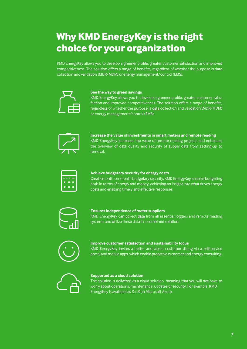# **Why KMD EnergyKey is the right choice for your organization**

KMD EnergyKey allows you to develop a greener profile, greater customer satisfaction and improved competitiveness. The solution offers a range of benefits, regardless of whether the purpose is data collection and validation (MDR/MDM) or energy management/control (EMS).



## **See the way to green savings**

KMD EnergyKey allows you to develop a greener profile, greater customer satisfaction and improved competitiveness. The solution offers a range of benefits, regardless of whether the purpose is data collection and validation (MDR/MDM) or energy management/control (EMS).



**Increase the value of investments in smart meters and remote reading** KMD EnergyKey increases the value of remote reading projects and enhances the overview of data quality and security of supply data from setting-up to removal.



### **Achieve budgetary security for energy costs**

Create month-on-month budgetary security. KMD EnergyKey enables budgeting both in terms of energy and money, achieving an insight into what drives energy costs and enabling timely and effective responses.



## **Ensures independence of meter suppliers**

KMD EnergyKey can collect data from all essential loggers and remote reading systems and utilize these data in a combined solution.



### **Improve customer satisfaction and sustainability focus**

KMD EnergyKey invites a better and closer customer dialog via a self-service portal and mobile apps, which enable proactive customer and energy consulting.



### **Supported as a cloud solution**

The solution is delivered as a cloud solution, meaning that you will not have to worry about operations, maintenance, updates or security. For example, KMD EnergyKey is available as SaaS on Microsoft Azure.